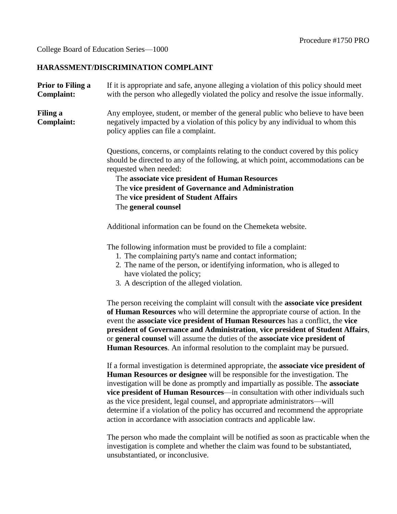# College Board of Education Series—1000

# **HARASSMENT/DISCRIMINATION COMPLAINT**

| Prior to Filing a<br><b>Complaint:</b> | If it is appropriate and safe, anyone alleging a violation of this policy should meet<br>with the person who allegedly violated the policy and resolve the issue informally.                                                                                                                                                                                                                                                                                                                                                                                                             |
|----------------------------------------|------------------------------------------------------------------------------------------------------------------------------------------------------------------------------------------------------------------------------------------------------------------------------------------------------------------------------------------------------------------------------------------------------------------------------------------------------------------------------------------------------------------------------------------------------------------------------------------|
| Filing a<br>Complaint:                 | Any employee, student, or member of the general public who believe to have been<br>negatively impacted by a violation of this policy by any individual to whom this<br>policy applies can file a complaint.                                                                                                                                                                                                                                                                                                                                                                              |
|                                        | Questions, concerns, or complaints relating to the conduct covered by this policy<br>should be directed to any of the following, at which point, accommodations can be<br>requested when needed:<br>The associate vice president of Human Resources<br>The vice president of Governance and Administration<br>The vice president of Student Affairs<br>The general counsel                                                                                                                                                                                                               |
|                                        | Additional information can be found on the Chemeketa website.                                                                                                                                                                                                                                                                                                                                                                                                                                                                                                                            |
|                                        | The following information must be provided to file a complaint:<br>1. The complaining party's name and contact information;<br>2. The name of the person, or identifying information, who is alleged to<br>have violated the policy;<br>3. A description of the alleged violation.                                                                                                                                                                                                                                                                                                       |
|                                        | The person receiving the complaint will consult with the associate vice president<br>of Human Resources who will determine the appropriate course of action. In the<br>event the associate vice president of Human Resources has a conflict, the vice<br>president of Governance and Administration, vice president of Student Affairs,<br>or general counsel will assume the duties of the associate vice president of<br><b>Human Resources.</b> An informal resolution to the complaint may be pursued.                                                                               |
|                                        | If a formal investigation is determined appropriate, the associate vice president of<br><b>Human Resources or designee</b> will be responsible for the investigation. The<br>investigation will be done as promptly and impartially as possible. The associate<br>vice president of Human Resources—in consultation with other individuals such<br>as the vice president, legal counsel, and appropriate administrators—will<br>determine if a violation of the policy has occurred and recommend the appropriate<br>action in accordance with association contracts and applicable law. |
|                                        |                                                                                                                                                                                                                                                                                                                                                                                                                                                                                                                                                                                          |

The person who made the complaint will be notified as soon as practicable when the investigation is complete and whether the claim was found to be substantiated, unsubstantiated, or inconclusive.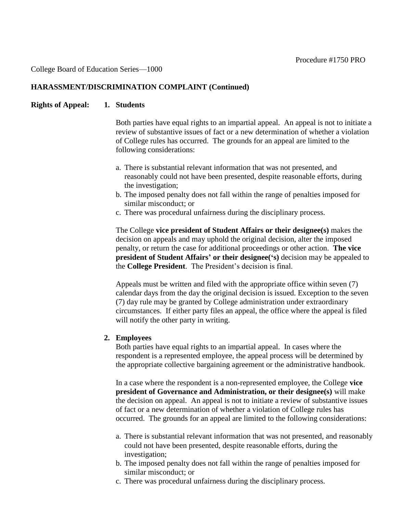### College Board of Education Series—1000

#### **HARASSMENT/DISCRIMINATION COMPLAINT (Continued)**

### **Rights of Appeal: 1. Students**

Both parties have equal rights to an impartial appeal. An appeal is not to initiate a review of substantive issues of fact or a new determination of whether a violation of College rules has occurred. The grounds for an appeal are limited to the following considerations:

- a. There is substantial relevant information that was not presented, and reasonably could not have been presented, despite reasonable efforts, during the investigation;
- b. The imposed penalty does not fall within the range of penalties imposed for similar misconduct; or
- c. There was procedural unfairness during the disciplinary process.

The College **vice president of Student Affairs or their designee(s)** makes the decision on appeals and may uphold the original decision, alter the imposed penalty, or return the case for additional proceedings or other action. **The vice president of Student Affairs' or their designee('s)** decision may be appealed to the **College President**. The President's decision is final.

Appeals must be written and filed with the appropriate office within seven (7) calendar days from the day the original decision is issued. Exception to the seven (7) day rule may be granted by College administration under extraordinary circumstances. If either party files an appeal, the office where the appeal is filed will notify the other party in writing.

# **2. Employees**

Both parties have equal rights to an impartial appeal. In cases where the respondent is a represented employee, the appeal process will be determined by the appropriate collective bargaining agreement or the administrative handbook.

In a case where the respondent is a non-represented employee, the College **vice president of Governance and Administration, or their designee(s)** will make the decision on appeal. An appeal is not to initiate a review of substantive issues of fact or a new determination of whether a violation of College rules has occurred. The grounds for an appeal are limited to the following considerations:

- a. There is substantial relevant information that was not presented, and reasonably could not have been presented, despite reasonable efforts, during the investigation;
- b. The imposed penalty does not fall within the range of penalties imposed for similar misconduct; or
- c. There was procedural unfairness during the disciplinary process.